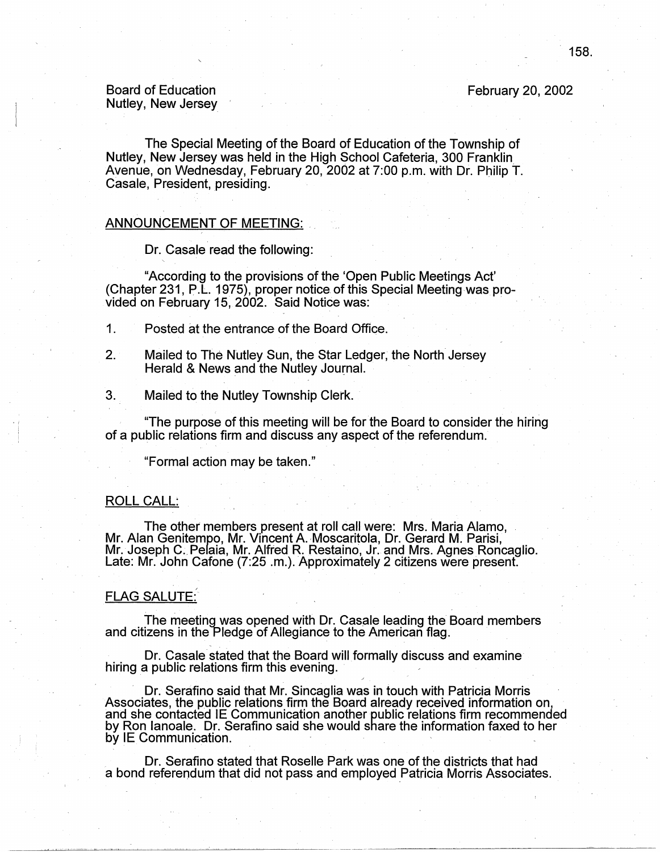February 20, 2002

## Board of Education Nutley, New Jersey

The Special Meeting of the Board of Education of the Township of Nutley, New Jersey was held in the High School Cafeteria, 300 Franklin Avenue, on Wednesday, February 20, 2002 at 7:00 p.m. with Dr. Philip T. Casale, President, presiding.

## ANNOUNCEMENT OF MEETING: .

Dr. Casale read the following:

"According to the provisions of the 'Open Public Meetings Act' (Chapter 231, P.L. 1975), proper notice.of this Special Meetingwas provided on February 15, 2002. Said Notice was:

1. Posted at the entrance of the Board Office.

- 2. Mailed to The Nutley Sun, the Star Ledger, the North Jersey Herald & News and the Nutley Journal.
- 3. Mailed to the Nutley Township Clerk.

"The purpose of this meeting will be for the Board to consider the hiring of a public relations firm and discuss any aspect of the referendum.

"Formal action may be taken."

### ROLL CALL:

The other members present at roll call were: Mrs. Maria Alamo, Mr. Alan Genitempo, Mr. Vincent A. Moscaritola, Dr. Gerard M. Parisi, Mr. Joseph C. Pelaia, Mr. Alfred R. Restaino, Jr. and Mrs. Agnes Roncaglio.<br>Late: Mr. John Cafone (7:25 .m.). Approximately 2 citizens were present.

### FLAG SALUTE:

The meeting was opened with Dr. Casale leading the Board members and citizens in the Pledge of Allegiance to the American flag.

Dr. Casale stated that the Board will formally discuss and examine hiring a public relations firm this evening.

· Dr. Serafino said that Mr. Sincaglia was in touch with Patricia Morris · Associates, the public relations firm the Board already received information on, and she contacted IE Communication another public relations firm recommended by Ron lanoale. Dr. Serafino said she would share the information faxed to her by IE Communication.

Dr. Serafino stated that Roselle Park was one of the districts that had a bond referendum that did not pass and employed Patricia Morris Associates.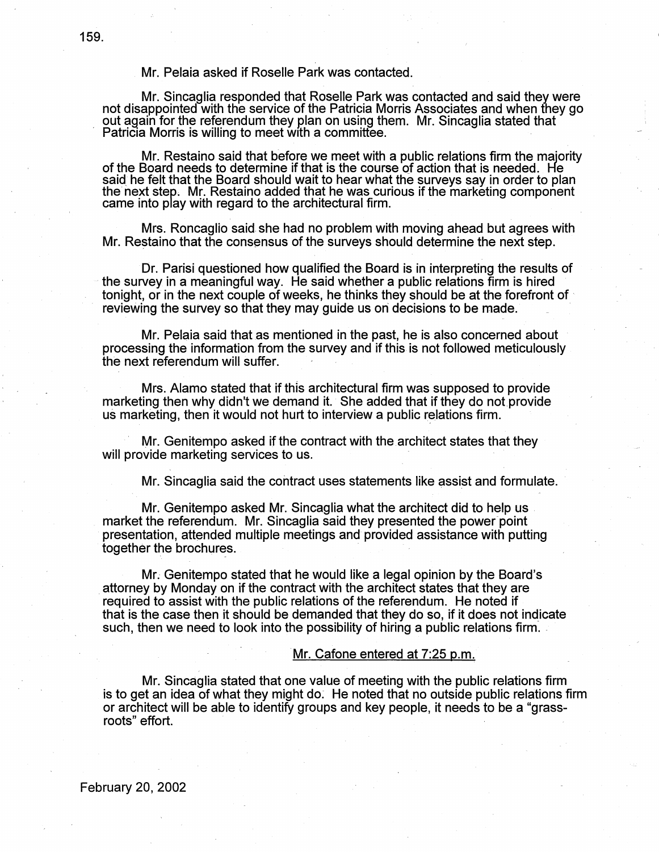# Mr. Pelaia asked if Roselle Park was contacted.

Mr. Sincaglia responded that Roselle Park was contacted and said they were not disappointed with the service of the Patricia Morris Associates and when they go out again for the referendum they plan on using them. Mr. Sincaglia stated that Patricia Morris is willing to meet with a committee.  $\Box$  . The committee is a set of  $\Box$  . The contribution of  $\Box$ 

Mr. Restaino said that before we meet with a public relations firm the majority of the Board needs to determine if that is the course of action that is needed. He said he felt that the Board should wait to hear what the su the next step. Mr. Restaino added that he was curious if the marketing component came into play with regard to the architectural firm.

Mrs. Roncaglio said she had no problem with moving ahead but agrees with Mr. Restaino that the consensus of the surveys should determine the next step.

Dr. Parisi questioned how qualified the Board is in interpreting the results of · the survey in a meaningful way. He said whether a public relations firm is hired tonight, or in the next couple of weeks, he thinks they should be at the forefront of · reviewing the survey so that they may guide us on decisions to be made.

Mr. Pelaia said that as mentioned in the past, he is also concerned about processing the information from the survey and if this is not followed meticulously the next referendum will suffer.

Mrs. Alamo stated that if this architectural firm was supposed to provide marketing then why didn't we demand it. She added that if they do not provide us marketing, then it would not hurt to interview a public relations firm.

Mr. Genitempo asked if the contract with the architect states that they will provide marketing services to us.

Mr. Sincaglia said the contract uses statements like assist and formulate.

Mr. Genitempo asked Mr. Sincaglia what the architect did to help us . market the referendum. Mr. Sincaglia said they presented the power point presentation, attended multiple meetings and provided assistance with putting together the brochures.

Mr. Genitempo stated that he would like a legal opinion by the Board's attorney by Monday on if the contract with the architect states that they are required to assist with the public relations of the referendum. He noted if that is the case then it should be demanded that they do so, if it does not indicate such, then we need to look into the possibility of hiring a public relations firm.

## Mr. Cafone entered at 7:25 p.m.

Mr. Sincaglia stated that one value of meeting with the public relations firm is to get an idea of what they might do: He noted that no outside public relations firm or architect will be able to identify groups and key people, it needs to be a "grassroots" effort.

February 20, 2002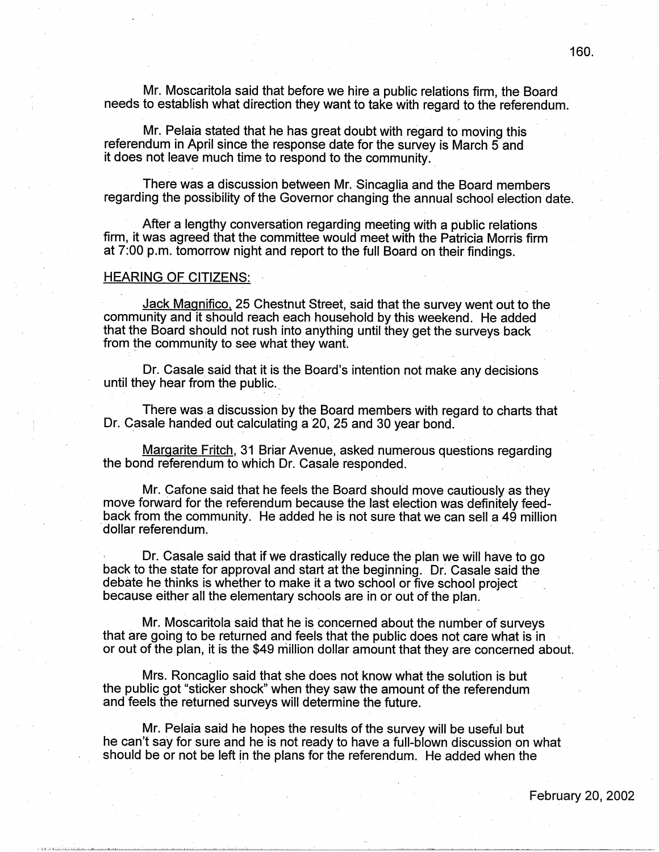Mr. Moscaritola said that before we hire a public relations firm, the Board needs to establish what direction they want to take with regard to the referendum:

Mr. Pelaia stated that he has great doubt with regard to moving this referendum in April since the response date for the survey is March 5 and it does not leave much time to respond to the community.

There was a discussion between Mr. Sincaglia ahd the Board members regarding the possibility of the Governor changing the annual school election date.

After a lengthy conversation regarding meeting with a public relations firm, it was agreed that the committee would meet with the Patricia Morris firm at 7:00 p.m. tomorrow night and report to the full Board on their findings.

### **HEARING OF CITIZENS:**

Jack Magnifico, 25 Chestnut Street, said that the survey went out to the community and it should reach each household by this weekend. He added that the Board should not rush into anything until they get the surveys back from the community to see what they want.

Dr. Casale said that it is the Board's intention not make any decisions until they hear from the public.

There was.a discussion by the Board members with regard to charts that Dr. Casale handed out calculating a 20, 25 and 30 year bond.

Margarite Fritch, 31 Briar Avenue, asked numerous questions regarding the bond referendum to which Dr. Casale responded.

Mr. Cafone said that he feels the Board should move cautiously as they move forward for the referendum because the last election was definitely feedback from the community. He added he is not sure that we can sell a 49 million dollar referendum.

Dr. Casale said that if we drastically reduce the plan we will have to go back to the state for approval and start at the beginning. Dr: Casale said the debate he thinks is whether to make it a two school or five school project because either all the elementary schools are in or out of the plan.

Mr. Moscaritola said that he is concerned about the number of surveys that are going to be returned and feels that the public does not care what is in or out of the plan, it is the \$49 million dollar amount that they are concerned about.

Mrs. Roncaglio said that she does not know what the solution is but the public got "sticker shock" when they saw the amount of the referendum and feels the returned surveys will determine the future.

Mr. Pelaia said he hopes the results of the survey will be useful but he can't say for sure and he is not ready to have a full-blown discussion on what should be or not be left in the plans for the referendum. He added when the

February 20, 2002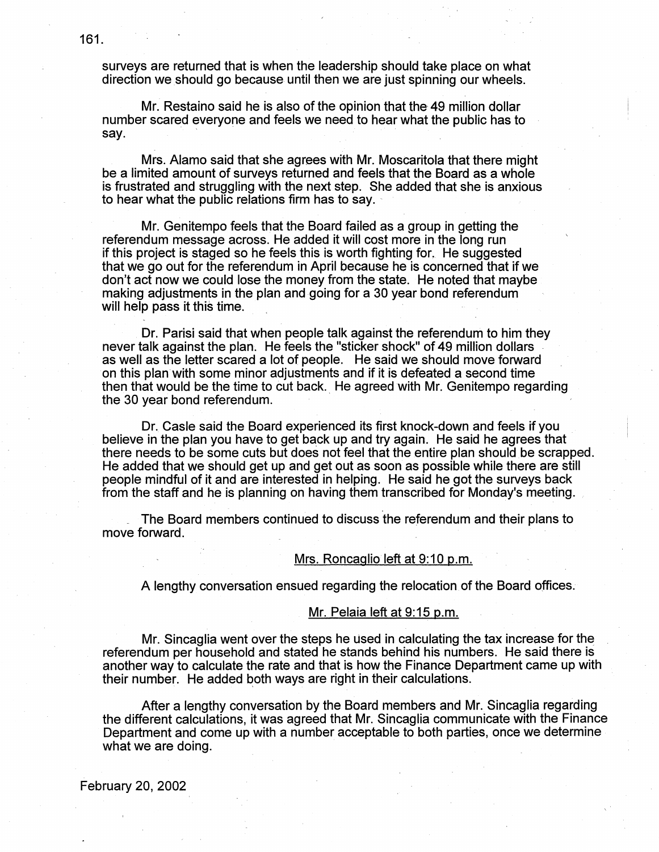surveys are returned that is when the leadership should take place on what direction we should go because until then we are just spinning our wheels.

Mr. Restaino said he is also of the opinion that the 49 million dollar number scared everyone and feels we need to hear what the public has to  $~$ sav.  $~$  .  $\,$ 

Mrs. Alamo said that she agrees with Mr. Moscaritola that there might be a limited amount of surveys returned and feels that the Board as a whole is frustrated and struggling with the next step. She added that she is anxious to hear what the public relations firm has to say.

Mr. Genitempo feels that the Board failed as a group in getting the referendum message across. He added it will cost more in the long run if this project is staged so he feels this is worth fighting for. He suggested that we go out for the referendum in April because he is concerned that if we don't act now we could lose the money from the state. He noted that maybe making adjustments in the plan and going for a 30 year bond referendum will help pass it this time.

Dr. Parisi said that when people talk against the referendum to him they never talk against the plan. He feels the "sticker shock" of 49 million dollars as well as the letter scared a lot of people. He said we should move forward on this plan with some minor adjustments and if it is defeated a second time then that would be the time to cut back. He agreed with Mr. Genitempo regarding the 30 year bond referendum.

Dr. Casie said the Board experienced its first knock-down and feels if you believe in the plan you have to get back up and try again. He said he agrees that there needs to be some cuts but does not feel that the entire plan should be scrapped. He added that we should get up and get out as soon as possible while there are still people mindful of it and are interested in helping. He said he got the surveys back from the staff and he is planning on having them transcribed for Monday's meeting.

\_ The Board members continued to discuss the referendum and their plans to move forward.

#### Mrs. Roncaglio left at 9:10 p.m.

A lengthy conversation ensued regarding the relocation of the Board offices.

## Mr. Pelaia left at 9: 15 p.m.

Mr. Sincaglia went over the steps he used in calculating the tax increase for the referendum per household and stated he stands behind his numbers. He said there is another way to calculate the rate and that is how the Finance Department came up with their number. He added both ways are right in their calculations.

After a lengthy conversation by the Board members and Mr. Sincaglia regarding the different calculations, it was agreed that Mr. Sincaglia communicate with the Finance Department and come up with a number acceptable to both parties, once we determine what we are doing.